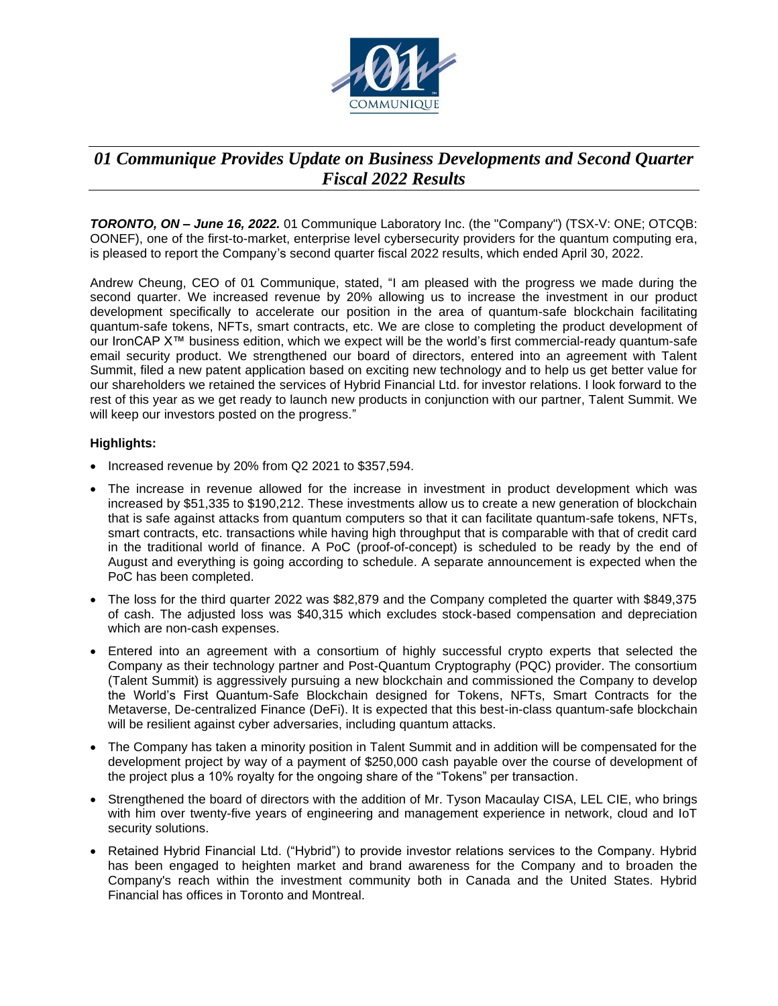

# *01 Communique Provides Update on Business Developments and Second Quarter Fiscal 2022 Results*

*TORONTO, ON – June 16, 2022.* 01 Communique Laboratory Inc. (the "Company") (TSX-V: ONE; OTCQB: OONEF), one of the first-to-market, enterprise level cybersecurity providers for the quantum computing era, is pleased to report the Company's second quarter fiscal 2022 results, which ended April 30, 2022.

Andrew Cheung, CEO of 01 Communique, stated, "I am pleased with the progress we made during the second quarter. We increased revenue by 20% allowing us to increase the investment in our product development specifically to accelerate our position in the area of quantum-safe blockchain facilitating quantum-safe tokens, NFTs, smart contracts, etc. We are close to completing the product development of our IronCAP X™ business edition, which we expect will be the world's first commercial-ready quantum-safe email security product. We strengthened our board of directors, entered into an agreement with Talent Summit, filed a new patent application based on exciting new technology and to help us get better value for our shareholders we retained the services of Hybrid Financial Ltd. for investor relations. I look forward to the rest of this year as we get ready to launch new products in conjunction with our partner, Talent Summit. We will keep our investors posted on the progress."

## **Highlights:**

- Increased revenue by 20% from Q2 2021 to \$357,594.
- The increase in revenue allowed for the increase in investment in product development which was increased by \$51,335 to \$190,212. These investments allow us to create a new generation of blockchain that is safe against attacks from quantum computers so that it can facilitate quantum-safe tokens, NFTs, smart contracts, etc. transactions while having high throughput that is comparable with that of credit card in the traditional world of finance. A PoC (proof-of-concept) is scheduled to be ready by the end of August and everything is going according to schedule. A separate announcement is expected when the PoC has been completed.
- The loss for the third quarter 2022 was \$82,879 and the Company completed the quarter with \$849,375 of cash. The adjusted loss was \$40,315 which excludes stock-based compensation and depreciation which are non-cash expenses.
- Entered into an agreement with a consortium of highly successful crypto experts that selected the Company as their technology partner and Post-Quantum Cryptography (PQC) provider. The consortium (Talent Summit) is aggressively pursuing a new blockchain and commissioned the Company to develop the World's First Quantum-Safe Blockchain designed for Tokens, NFTs, Smart Contracts for the Metaverse, De-centralized Finance (DeFi). It is expected that this best-in-class quantum-safe blockchain will be resilient against cyber adversaries, including quantum attacks.
- The Company has taken a minority position in Talent Summit and in addition will be compensated for the development project by way of a payment of \$250,000 cash payable over the course of development of the project plus a 10% royalty for the ongoing share of the "Tokens" per transaction.
- Strengthened the board of directors with the addition of Mr. Tyson Macaulay CISA, LEL CIE, who brings with him over twenty-five years of engineering and management experience in network, cloud and IoT security solutions.
- Retained Hybrid Financial Ltd. ("Hybrid") to provide investor relations services to the Company. Hybrid has been engaged to heighten market and brand awareness for the Company and to broaden the Company's reach within the investment community both in Canada and the United States. Hybrid Financial has offices in Toronto and Montreal.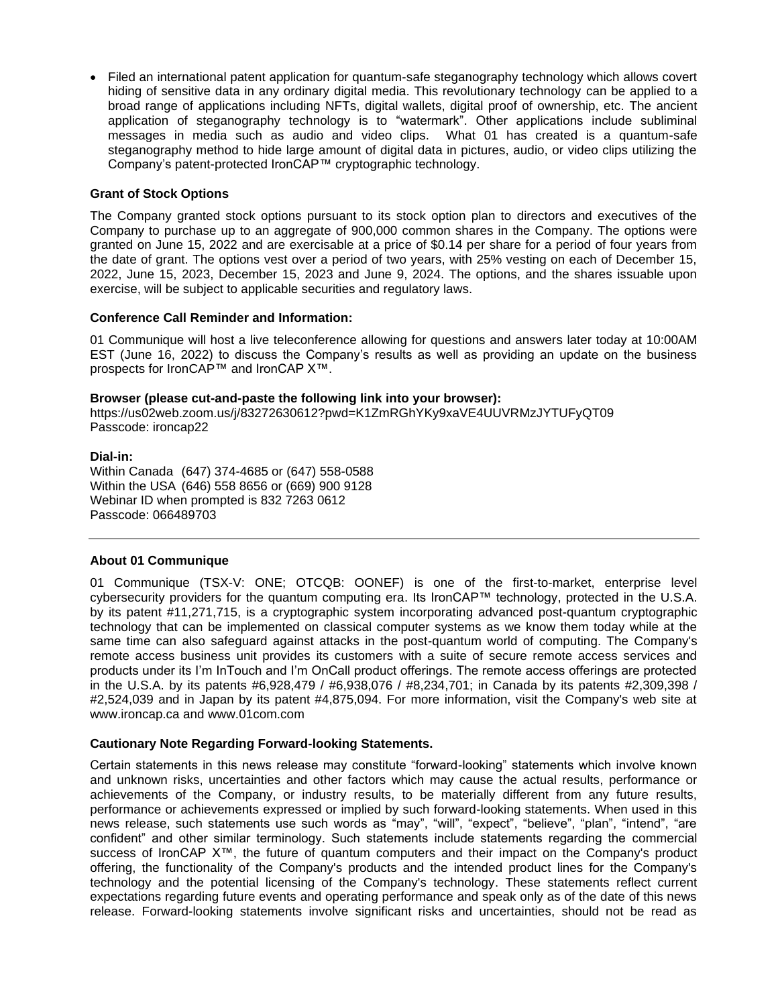• Filed an international patent application for quantum-safe steganography technology which allows covert hiding of sensitive data in any ordinary digital media. This revolutionary technology can be applied to a broad range of applications including NFTs, digital wallets, digital proof of ownership, etc. The ancient application of steganography technology is to "watermark". Other applications include subliminal messages in media such as audio and video clips. What 01 has created is a quantum-safe steganography method to hide large amount of digital data in pictures, audio, or video clips utilizing the Company's patent-protected IronCAP™ cryptographic technology.

#### **Grant of Stock Options**

The Company granted stock options pursuant to its stock option plan to directors and executives of the Company to purchase up to an aggregate of 900,000 common shares in the Company. The options were granted on June 15, 2022 and are exercisable at a price of \$0.14 per share for a period of four years from the date of grant. The options vest over a period of two years, with 25% vesting on each of December 15, 2022, June 15, 2023, December 15, 2023 and June 9, 2024. The options, and the shares issuable upon exercise, will be subject to applicable securities and regulatory laws.

## **Conference Call Reminder and Information:**

01 Communique will host a live teleconference allowing for questions and answers later today at 10:00AM EST (June 16, 2022) to discuss the Company's results as well as providing an update on the business prospects for IronCAP™ and IronCAP X™.

#### **Browser (please cut-and-paste the following link into your browser):**

https://us02web.zoom.us/j/83272630612?pwd=K1ZmRGhYKy9xaVE4UUVRMzJYTUFyQT09 Passcode: ironcap22

#### **Dial-in:**

Within Canada (647) 374-4685 or (647) 558-0588 Within the USA (646) 558 8656 or (669) 900 9128 Webinar ID when prompted is 832 7263 0612 Passcode: 066489703

#### **About 01 Communique**

01 Communique (TSX-V: ONE; OTCQB: OONEF) is one of the first-to-market, enterprise level cybersecurity providers for the quantum computing era. Its IronCAP™ technology, protected in the U.S.A. by its patent #11,271,715, is a cryptographic system incorporating advanced post-quantum cryptographic technology that can be implemented on classical computer systems as we know them today while at the same time can also safeguard against attacks in the post-quantum world of computing. The Company's remote access business unit provides its customers with a suite of secure remote access services and products under its I'm InTouch and I'm OnCall product offerings. The remote access offerings are protected in the U.S.A. by its patents #6,928,479 / #6,938,076 / #8,234,701; in Canada by its patents #2,309,398 / #2,524,039 and in Japan by its patent #4,875,094. For more information, visit the Company's web site at [www.ironcap.ca](http://www.ironcap.ca/) and [www.01com.com](http://www.01com.com./) 

# **Cautionary Note Regarding Forward-looking Statements.**

Certain statements in this news release may constitute "forward-looking" statements which involve known and unknown risks, uncertainties and other factors which may cause the actual results, performance or achievements of the Company, or industry results, to be materially different from any future results, performance or achievements expressed or implied by such forward-looking statements. When used in this news release, such statements use such words as "may", "will", "expect", "believe", "plan", "intend", "are confident" and other similar terminology. Such statements include statements regarding the commercial success of IronCAP X™, the future of quantum computers and their impact on the Company's product offering, the functionality of the Company's products and the intended product lines for the Company's technology and the potential licensing of the Company's technology. These statements reflect current expectations regarding future events and operating performance and speak only as of the date of this news release. Forward-looking statements involve significant risks and uncertainties, should not be read as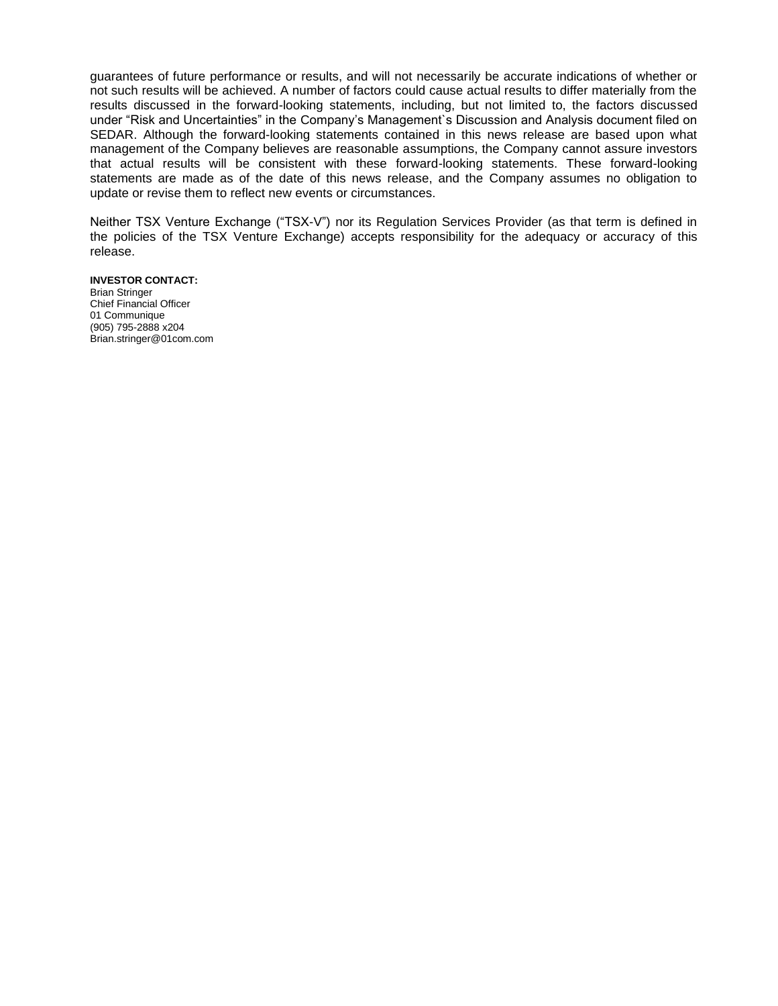guarantees of future performance or results, and will not necessarily be accurate indications of whether or not such results will be achieved. A number of factors could cause actual results to differ materially from the results discussed in the forward-looking statements, including, but not limited to, the factors discussed under "Risk and Uncertainties" in the Company's Management`s Discussion and Analysis document filed on SEDAR. Although the forward-looking statements contained in this news release are based upon what management of the Company believes are reasonable assumptions, the Company cannot assure investors that actual results will be consistent with these forward-looking statements. These forward-looking statements are made as of the date of this news release, and the Company assumes no obligation to update or revise them to reflect new events or circumstances.

Neither TSX Venture Exchange ("TSX-V") nor its Regulation Services Provider (as that term is defined in the policies of the TSX Venture Exchange) accepts responsibility for the adequacy or accuracy of this release.

#### **INVESTOR CONTACT:**

Brian Stringer Chief Financial Officer 01 Communique (905) 795-2888 x204 Brian.stringer@01com.com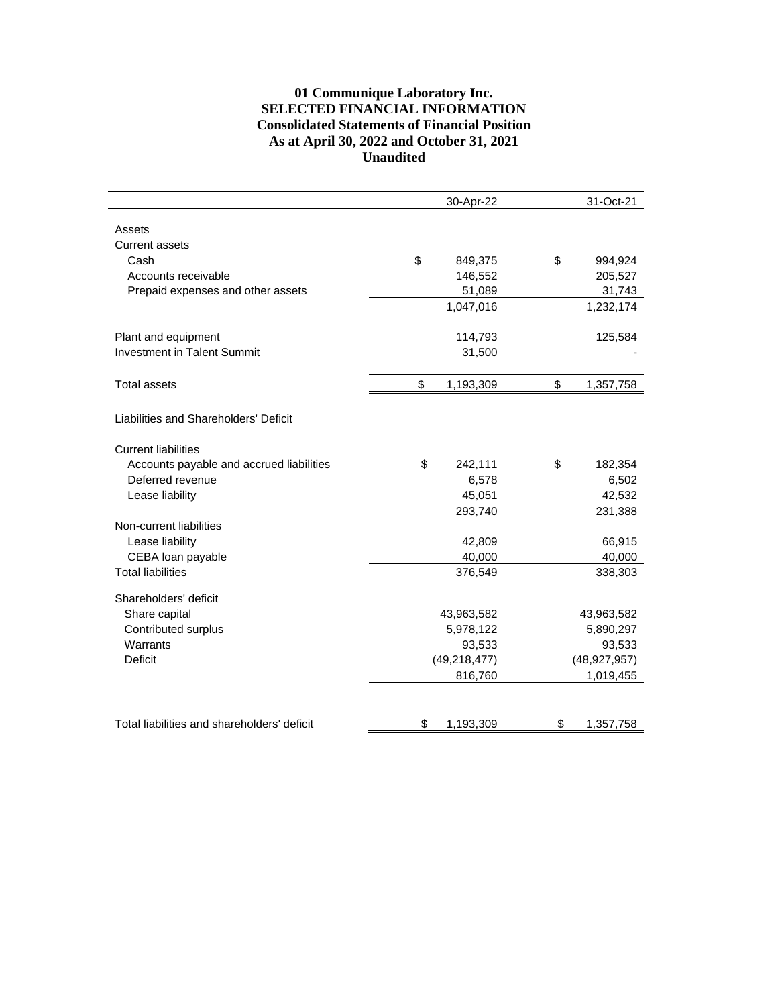# **01 Communique Laboratory Inc. SELECTED FINANCIAL INFORMATION Consolidated Statements of Financial Position As at April 30, 2022 and October 31, 2021 Unaudited**

|                                             | 30-Apr-22       | 31-Oct-21       |
|---------------------------------------------|-----------------|-----------------|
|                                             |                 |                 |
| Assets                                      |                 |                 |
| <b>Current assets</b>                       |                 |                 |
| Cash                                        | \$<br>849,375   | \$<br>994,924   |
| Accounts receivable                         | 146,552         | 205,527         |
| Prepaid expenses and other assets           | 51,089          | 31,743          |
|                                             | 1,047,016       | 1,232,174       |
| Plant and equipment                         | 114,793         | 125,584         |
| <b>Investment in Talent Summit</b>          | 31,500          |                 |
|                                             |                 |                 |
| <b>Total assets</b>                         | \$<br>1,193,309 | \$<br>1,357,758 |
|                                             |                 |                 |
| Liabilities and Shareholders' Deficit       |                 |                 |
| <b>Current liabilities</b>                  |                 |                 |
| Accounts payable and accrued liabilities    | \$<br>242,111   | \$<br>182,354   |
| Deferred revenue                            | 6,578           | 6,502           |
| Lease liability                             | 45,051          | 42,532          |
|                                             | 293,740         | 231,388         |
| Non-current liabilities                     |                 |                 |
| Lease liability                             | 42,809          | 66,915          |
| CEBA loan payable                           | 40,000          | 40,000          |
| <b>Total liabilities</b>                    | 376,549         | 338,303         |
|                                             |                 |                 |
| Shareholders' deficit                       |                 |                 |
| Share capital                               | 43,963,582      | 43,963,582      |
| Contributed surplus                         | 5,978,122       | 5,890,297       |
| Warrants                                    | 93,533          | 93,533          |
| <b>Deficit</b>                              | (49, 218, 477)  | (48, 927, 957)  |
|                                             | 816,760         | 1,019,455       |
|                                             |                 |                 |
| Total liabilities and shareholders' deficit | \$<br>1,193,309 | \$<br>1,357,758 |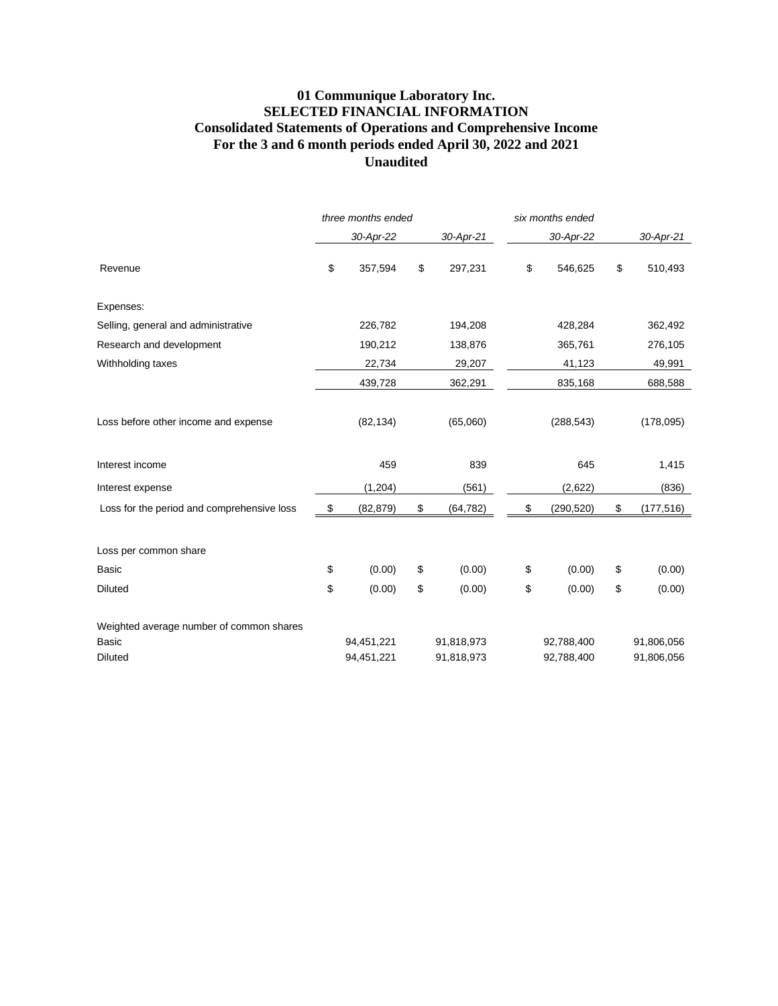# **01 Communique Laboratory Inc. SELECTED FINANCIAL INFORMATION Consolidated Statements of Operations and Comprehensive Income For the 3 and 6 month periods ended April 30, 2022 and 2021 Unaudited**

|                                            | three months ended |            |    | six months ended |    |            |    |            |
|--------------------------------------------|--------------------|------------|----|------------------|----|------------|----|------------|
|                                            |                    | 30-Apr-22  |    | 30-Apr-21        |    | 30-Apr-22  |    | 30-Apr-21  |
| Revenue                                    | \$                 | 357,594    | \$ | 297,231          | \$ | 546,625    | \$ | 510,493    |
| Expenses:                                  |                    |            |    |                  |    |            |    |            |
| Selling, general and administrative        |                    | 226,782    |    | 194,208          |    | 428,284    |    | 362,492    |
| Research and development                   |                    | 190,212    |    | 138,876          |    | 365,761    |    | 276,105    |
| Withholding taxes                          |                    | 22,734     |    | 29,207           |    | 41,123     |    | 49,991     |
|                                            |                    | 439,728    |    | 362,291          |    | 835,168    |    | 688,588    |
| Loss before other income and expense       |                    | (82, 134)  |    | (65,060)         |    | (288, 543) |    | (178,095)  |
| Interest income                            |                    | 459        |    | 839              |    | 645        |    | 1,415      |
| Interest expense                           |                    | (1, 204)   |    | (561)            |    | (2,622)    |    | (836)      |
| Loss for the period and comprehensive loss | \$                 | (82, 879)  | \$ | (64, 782)        | \$ | (290, 520) | \$ | (177, 516) |
| Loss per common share                      |                    |            |    |                  |    |            |    |            |
| <b>Basic</b>                               | \$                 | (0.00)     | \$ | (0.00)           | \$ | (0.00)     | \$ | (0.00)     |
| <b>Diluted</b>                             | \$                 | (0.00)     | \$ | (0.00)           | \$ | (0.00)     | \$ | (0.00)     |
| Weighted average number of common shares   |                    |            |    |                  |    |            |    |            |
| <b>Basic</b>                               |                    | 94,451,221 |    | 91,818,973       |    | 92,788,400 |    | 91,806,056 |
| <b>Diluted</b>                             |                    | 94,451,221 |    | 91,818,973       |    | 92,788,400 |    | 91,806,056 |